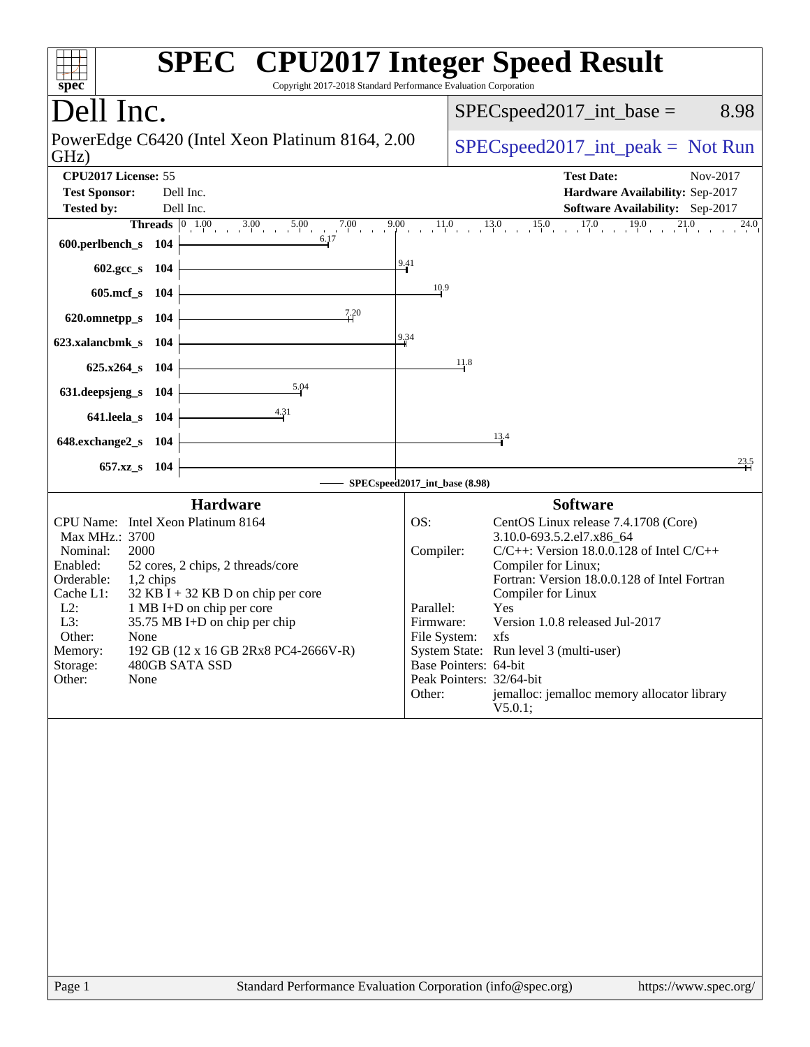| spec <sup>®</sup>                                                                                                                                                                                                                                                                                                                                                                                                                | <b>SPEC<sup>®</sup></b> CPU2017 Integer Speed Result<br>Copyright 2017-2018 Standard Performance Evaluation Corporation                                                                                                                                                                                                                                                                                                                                                                                                  |
|----------------------------------------------------------------------------------------------------------------------------------------------------------------------------------------------------------------------------------------------------------------------------------------------------------------------------------------------------------------------------------------------------------------------------------|--------------------------------------------------------------------------------------------------------------------------------------------------------------------------------------------------------------------------------------------------------------------------------------------------------------------------------------------------------------------------------------------------------------------------------------------------------------------------------------------------------------------------|
| Dell Inc.                                                                                                                                                                                                                                                                                                                                                                                                                        | $SPEC speed2017\_int\_base =$<br>8.98                                                                                                                                                                                                                                                                                                                                                                                                                                                                                    |
| PowerEdge C6420 (Intel Xeon Platinum 8164, 2.00<br>GHz)                                                                                                                                                                                                                                                                                                                                                                          | $SPEC speed2017\_int\_peak = Not Run$                                                                                                                                                                                                                                                                                                                                                                                                                                                                                    |
| CPU2017 License: 55<br><b>Test Sponsor:</b><br>Dell Inc.<br>Dell Inc.<br><b>Tested by:</b><br><b>Threads</b> $\begin{bmatrix} 0 & 1.00 \\ 1.00 & 3.00 \\ 0 & 0.00 \end{bmatrix}$ 5.00<br>9.00<br>$7.00$ 9                                                                                                                                                                                                                        | <b>Test Date:</b><br>Nov-2017<br>Hardware Availability: Sep-2017<br><b>Software Availability:</b> Sep-2017<br>$11.0$ $13.0$ $15.0$ $17.0$ $19.0$ $21.0$<br>$^{24.0}$                                                                                                                                                                                                                                                                                                                                                     |
| 600.perlbench_s 104                                                                                                                                                                                                                                                                                                                                                                                                              | $^{9.41}$                                                                                                                                                                                                                                                                                                                                                                                                                                                                                                                |
| 602.gcc_s 104<br>605.mcf_s 104                                                                                                                                                                                                                                                                                                                                                                                                   | 10.9                                                                                                                                                                                                                                                                                                                                                                                                                                                                                                                     |
| 7.20<br>620.omnetpp_s 104                                                                                                                                                                                                                                                                                                                                                                                                        |                                                                                                                                                                                                                                                                                                                                                                                                                                                                                                                          |
| 623.xalancbmk_s 104                                                                                                                                                                                                                                                                                                                                                                                                              | 9,34                                                                                                                                                                                                                                                                                                                                                                                                                                                                                                                     |
| 625.x264_s 104                                                                                                                                                                                                                                                                                                                                                                                                                   | 11.8                                                                                                                                                                                                                                                                                                                                                                                                                                                                                                                     |
| 5.04<br>631.deepsjeng_s<br>104                                                                                                                                                                                                                                                                                                                                                                                                   |                                                                                                                                                                                                                                                                                                                                                                                                                                                                                                                          |
| $\frac{4.31}{4}$<br>641.leela_s 104                                                                                                                                                                                                                                                                                                                                                                                              | 13.4                                                                                                                                                                                                                                                                                                                                                                                                                                                                                                                     |
| 648.exchange2_s 104<br>657.xz_s 104                                                                                                                                                                                                                                                                                                                                                                                              | $\frac{23.5}{4}$                                                                                                                                                                                                                                                                                                                                                                                                                                                                                                         |
|                                                                                                                                                                                                                                                                                                                                                                                                                                  | SPECspeed2017_int_base (8.98)                                                                                                                                                                                                                                                                                                                                                                                                                                                                                            |
| <b>Hardware</b><br>CPU Name: Intel Xeon Platinum 8164<br>Max MHz.: 3700<br>Nominal:<br>2000<br>Enabled:<br>52 cores, 2 chips, 2 threads/core<br>Orderable:<br>1,2 chips<br>$32$ KB I + 32 KB D on chip per core<br>Cache L1:<br>$L2$ :<br>1 MB I+D on chip per core<br>L3:<br>35.75 MB I+D on chip per chip<br>Other:<br>None<br>192 GB (12 x 16 GB 2Rx8 PC4-2666V-R)<br>Memory:<br>Storage:<br>480GB SATA SSD<br>Other:<br>None | <b>Software</b><br>OS:<br>CentOS Linux release 7.4.1708 (Core)<br>3.10.0-693.5.2.el7.x86_64<br>Compiler:<br>$C/C++$ : Version 18.0.0.128 of Intel $C/C++$<br>Compiler for Linux;<br>Fortran: Version 18.0.0.128 of Intel Fortran<br>Compiler for Linux<br>Parallel:<br><b>Yes</b><br>Version 1.0.8 released Jul-2017<br>Firmware:<br>File System: xfs<br>System State: Run level 3 (multi-user)<br>Base Pointers: 64-bit<br>Peak Pointers: 32/64-bit<br>Other:<br>jemalloc: jemalloc memory allocator library<br>V5.0.1; |
|                                                                                                                                                                                                                                                                                                                                                                                                                                  |                                                                                                                                                                                                                                                                                                                                                                                                                                                                                                                          |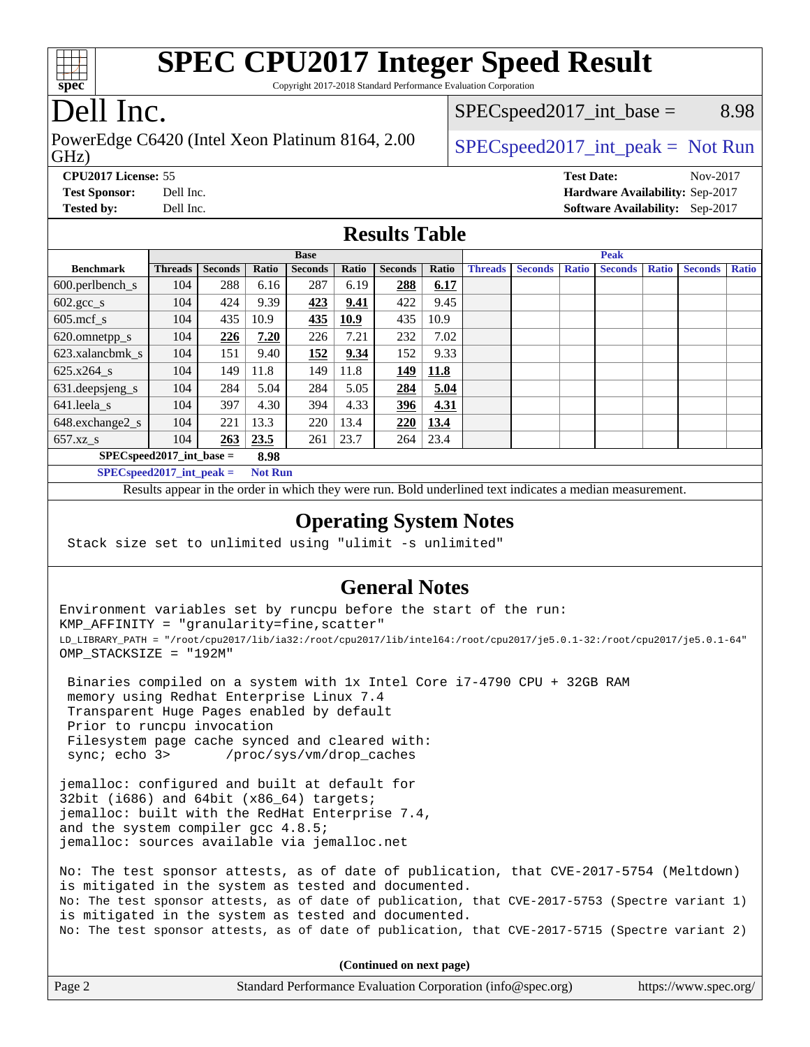

Copyright 2017-2018 Standard Performance Evaluation Corporation

# Dell Inc.

GHz) PowerEdge C6420 (Intel Xeon Platinum 8164, 2.00  $\big|$  [SPECspeed2017\\_int\\_peak =](http://www.spec.org/auto/cpu2017/Docs/result-fields.html#SPECspeed2017intpeak) Not Run

 $SPEC speed2017\_int\_base =$  8.98

**[CPU2017 License:](http://www.spec.org/auto/cpu2017/Docs/result-fields.html#CPU2017License)** 55 **[Test Date:](http://www.spec.org/auto/cpu2017/Docs/result-fields.html#TestDate)** Nov-2017 **[Test Sponsor:](http://www.spec.org/auto/cpu2017/Docs/result-fields.html#TestSponsor)** Dell Inc. **[Hardware Availability:](http://www.spec.org/auto/cpu2017/Docs/result-fields.html#HardwareAvailability)** Sep-2017 **[Tested by:](http://www.spec.org/auto/cpu2017/Docs/result-fields.html#Testedby)** Dell Inc. **[Software Availability:](http://www.spec.org/auto/cpu2017/Docs/result-fields.html#SoftwareAvailability)** Sep-2017

### **[Results Table](http://www.spec.org/auto/cpu2017/Docs/result-fields.html#ResultsTable)**

|                                      | <b>Base</b>    |                |       |                |       |                | <b>Peak</b> |                |                |              |                |              |                |              |
|--------------------------------------|----------------|----------------|-------|----------------|-------|----------------|-------------|----------------|----------------|--------------|----------------|--------------|----------------|--------------|
| <b>Benchmark</b>                     | <b>Threads</b> | <b>Seconds</b> | Ratio | <b>Seconds</b> | Ratio | <b>Seconds</b> | Ratio       | <b>Threads</b> | <b>Seconds</b> | <b>Ratio</b> | <b>Seconds</b> | <b>Ratio</b> | <b>Seconds</b> | <b>Ratio</b> |
| $600.$ perlbench_s                   | 104            | 288            | 6.16  | 287            | 6.19  | 288            | 6.17        |                |                |              |                |              |                |              |
| $602.\text{gcc}\_\text{s}$           | 104            | 424            | 9.39  | 423            | 9.41  | 422            | 9.45        |                |                |              |                |              |                |              |
| $605$ .mcf s                         | 104            | 435            | 10.9  | 435            | 10.9  | 435            | 10.9        |                |                |              |                |              |                |              |
| 620.omnetpp_s                        | 104            | 226            | 7.20  | 226            | 7.21  | 232            | 7.02        |                |                |              |                |              |                |              |
| 623.xalancbmk s                      | 104            | 151            | 9.40  | 152            | 9.34  | 152            | 9.33        |                |                |              |                |              |                |              |
| 625.x264 s                           | 104            | 149            | 11.8  | 149            | 11.8  | 149            | 11.8        |                |                |              |                |              |                |              |
| 631.deepsjeng_s                      | 104            | 284            | 5.04  | 284            | 5.05  | 284            | 5.04        |                |                |              |                |              |                |              |
| 641.leela_s                          | 104            | 397            | 4.30  | 394            | 4.33  | 396            | 4.31        |                |                |              |                |              |                |              |
| 648.exchange2_s                      | 104            | 221            | 13.3  | 220            | 13.4  | 220            | 13.4        |                |                |              |                |              |                |              |
| $657.xz$ s                           | 104            | 263            | 23.5  | 261            | 23.7  | 264            | 23.4        |                |                |              |                |              |                |              |
| $SPECspeed2017\_int\_base =$<br>8.98 |                |                |       |                |       |                |             |                |                |              |                |              |                |              |

**[SPECspeed2017\\_int\\_peak =](http://www.spec.org/auto/cpu2017/Docs/result-fields.html#SPECspeed2017intpeak) Not Run**

Results appear in the [order in which they were run.](http://www.spec.org/auto/cpu2017/Docs/result-fields.html#RunOrder) Bold underlined text [indicates a median measurement.](http://www.spec.org/auto/cpu2017/Docs/result-fields.html#Median)

### **[Operating System Notes](http://www.spec.org/auto/cpu2017/Docs/result-fields.html#OperatingSystemNotes)**

Stack size set to unlimited using "ulimit -s unlimited"

### **[General Notes](http://www.spec.org/auto/cpu2017/Docs/result-fields.html#GeneralNotes)**

Environment variables set by runcpu before the start of the run: KMP\_AFFINITY = "granularity=fine,scatter" LD\_LIBRARY\_PATH = "/root/cpu2017/lib/ia32:/root/cpu2017/lib/intel64:/root/cpu2017/je5.0.1-32:/root/cpu2017/je5.0.1-64" OMP\_STACKSIZE = "192M"

 Binaries compiled on a system with 1x Intel Core i7-4790 CPU + 32GB RAM memory using Redhat Enterprise Linux 7.4 Transparent Huge Pages enabled by default Prior to runcpu invocation Filesystem page cache synced and cleared with: sync; echo 3> /proc/sys/vm/drop\_caches

jemalloc: configured and built at default for 32bit (i686) and  $64$ bit (x86  $64$ ) targets; jemalloc: built with the RedHat Enterprise 7.4, and the system compiler gcc 4.8.5; jemalloc: sources available via jemalloc.net

No: The test sponsor attests, as of date of publication, that CVE-2017-5754 (Meltdown) is mitigated in the system as tested and documented. No: The test sponsor attests, as of date of publication, that CVE-2017-5753 (Spectre variant 1) is mitigated in the system as tested and documented. No: The test sponsor attests, as of date of publication, that CVE-2017-5715 (Spectre variant 2)

**(Continued on next page)**

| Page 2 | Standard Performance Evaluation Corporation (info@spec.org) | https://www.spec.org/ |
|--------|-------------------------------------------------------------|-----------------------|
|--------|-------------------------------------------------------------|-----------------------|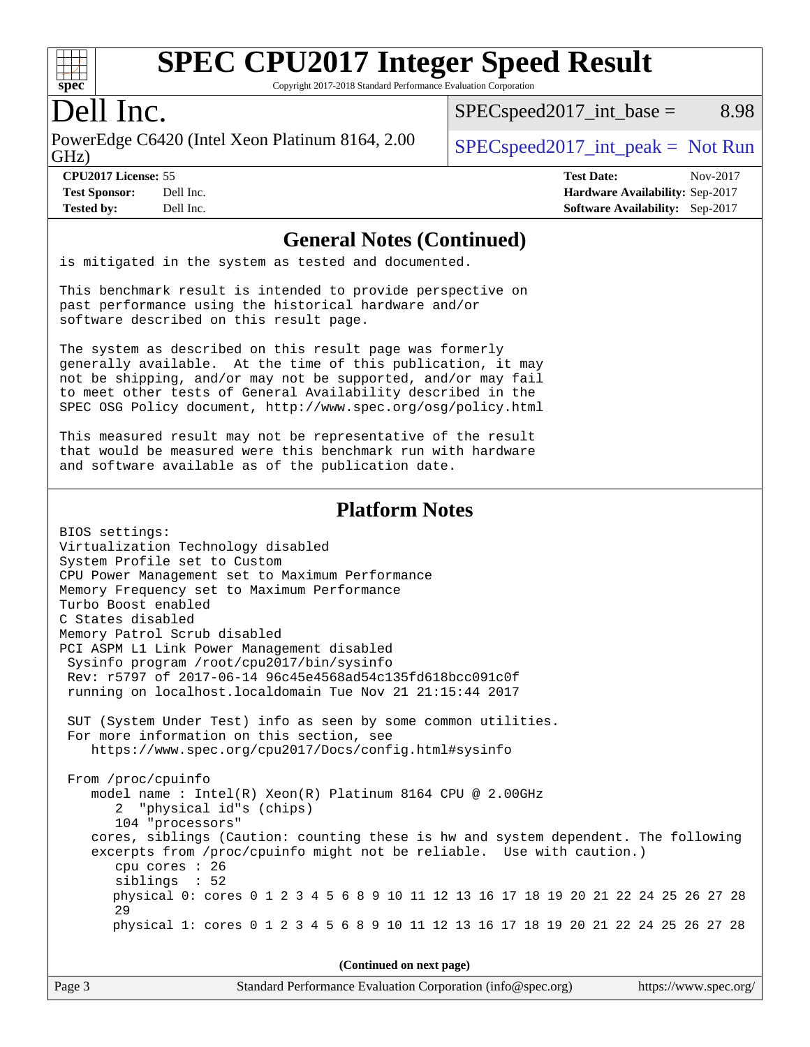

Copyright 2017-2018 Standard Performance Evaluation Corporation

## Dell Inc.

GHz) PowerEdge C6420 (Intel Xeon Platinum 8164, 2.00  $\big|$  [SPECspeed2017\\_int\\_peak =](http://www.spec.org/auto/cpu2017/Docs/result-fields.html#SPECspeed2017intpeak) Not Run

 $SPEC speed2017\_int\_base =$  8.98

**[Tested by:](http://www.spec.org/auto/cpu2017/Docs/result-fields.html#Testedby)** Dell Inc. **[Software Availability:](http://www.spec.org/auto/cpu2017/Docs/result-fields.html#SoftwareAvailability)** Sep-2017

**[CPU2017 License:](http://www.spec.org/auto/cpu2017/Docs/result-fields.html#CPU2017License)** 55 **[Test Date:](http://www.spec.org/auto/cpu2017/Docs/result-fields.html#TestDate)** Nov-2017 **[Test Sponsor:](http://www.spec.org/auto/cpu2017/Docs/result-fields.html#TestSponsor)** Dell Inc. **[Hardware Availability:](http://www.spec.org/auto/cpu2017/Docs/result-fields.html#HardwareAvailability)** Sep-2017

### **[General Notes \(Continued\)](http://www.spec.org/auto/cpu2017/Docs/result-fields.html#GeneralNotes)**

is mitigated in the system as tested and documented.

This benchmark result is intended to provide perspective on past performance using the historical hardware and/or software described on this result page.

The system as described on this result page was formerly generally available. At the time of this publication, it may not be shipping, and/or may not be supported, and/or may fail to meet other tests of General Availability described in the SPEC OSG Policy document, <http://www.spec.org/osg/policy.html>

This measured result may not be representative of the result that would be measured were this benchmark run with hardware and software available as of the publication date.

### **[Platform Notes](http://www.spec.org/auto/cpu2017/Docs/result-fields.html#PlatformNotes)**

| BIOS settings:                                                                      |  |  |  |  |  |  |  |  |
|-------------------------------------------------------------------------------------|--|--|--|--|--|--|--|--|
| Virtualization Technology disabled                                                  |  |  |  |  |  |  |  |  |
| System Profile set to Custom                                                        |  |  |  |  |  |  |  |  |
| CPU Power Management set to Maximum Performance                                     |  |  |  |  |  |  |  |  |
| Memory Frequency set to Maximum Performance                                         |  |  |  |  |  |  |  |  |
| Turbo Boost enabled                                                                 |  |  |  |  |  |  |  |  |
| C States disabled                                                                   |  |  |  |  |  |  |  |  |
| Memory Patrol Scrub disabled                                                        |  |  |  |  |  |  |  |  |
| PCI ASPM L1 Link Power Management disabled                                          |  |  |  |  |  |  |  |  |
| Sysinfo program /root/cpu2017/bin/sysinfo                                           |  |  |  |  |  |  |  |  |
| Rev: r5797 of 2017-06-14 96c45e4568ad54c135fd618bcc091c0f                           |  |  |  |  |  |  |  |  |
| running on localhost.localdomain Tue Nov 21 21:15:44 2017                           |  |  |  |  |  |  |  |  |
|                                                                                     |  |  |  |  |  |  |  |  |
| SUT (System Under Test) info as seen by some common utilities.                      |  |  |  |  |  |  |  |  |
| For more information on this section, see                                           |  |  |  |  |  |  |  |  |
| https://www.spec.org/cpu2017/Docs/config.html#sysinfo                               |  |  |  |  |  |  |  |  |
|                                                                                     |  |  |  |  |  |  |  |  |
| From /proc/cpuinfo                                                                  |  |  |  |  |  |  |  |  |
| model name: $Intel(R)$ Xeon(R) Platinum 8164 CPU @ 2.00GHz                          |  |  |  |  |  |  |  |  |
| 2 "physical id"s (chips)                                                            |  |  |  |  |  |  |  |  |
| 104 "processors"                                                                    |  |  |  |  |  |  |  |  |
| cores, siblings (Caution: counting these is hw and system dependent. The following  |  |  |  |  |  |  |  |  |
| excerpts from /proc/cpuinfo might not be reliable. Use with caution.)               |  |  |  |  |  |  |  |  |
| cpu cores : 26                                                                      |  |  |  |  |  |  |  |  |
| siblings : 52                                                                       |  |  |  |  |  |  |  |  |
| physical 0: cores 0 1 2 3 4 5 6 8 9 10 11 12 13 16 17 18 19 20 21 22 24 25 26 27 28 |  |  |  |  |  |  |  |  |
| 29                                                                                  |  |  |  |  |  |  |  |  |
| physical 1: cores 0 1 2 3 4 5 6 8 9 10 11 12 13 16 17 18 19 20 21 22 24 25 26 27 28 |  |  |  |  |  |  |  |  |
|                                                                                     |  |  |  |  |  |  |  |  |
|                                                                                     |  |  |  |  |  |  |  |  |
| (Continued on next page)                                                            |  |  |  |  |  |  |  |  |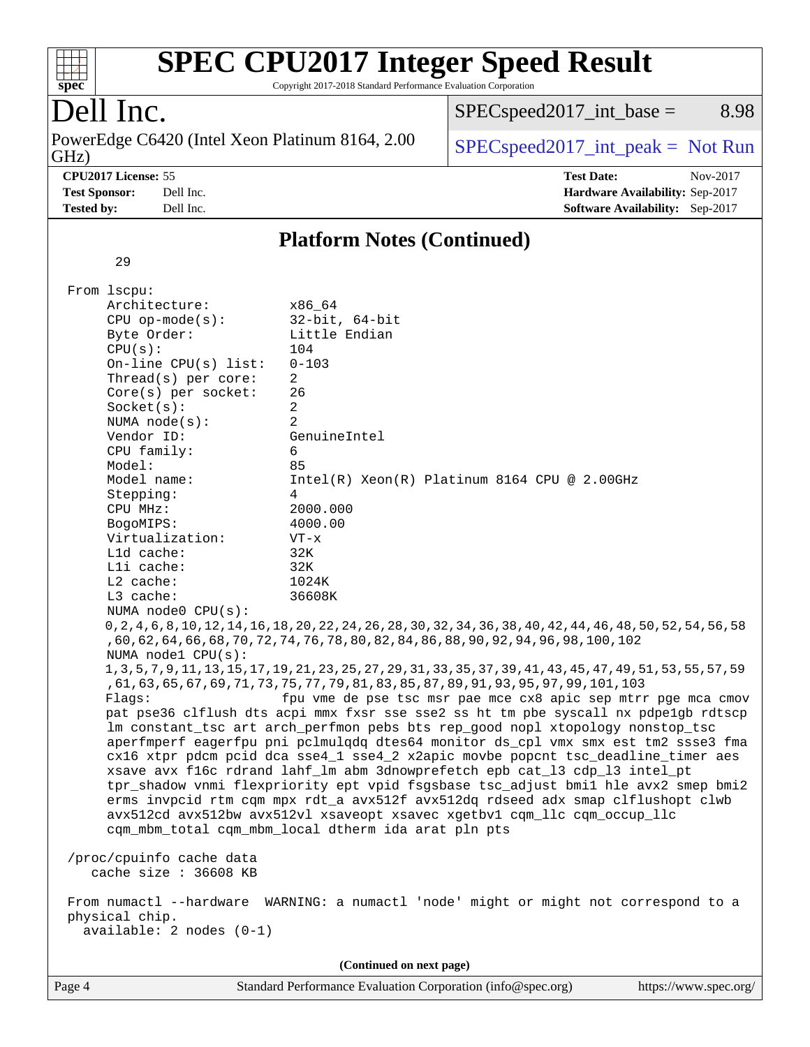

Copyright 2017-2018 Standard Performance Evaluation Corporation

# Dell Inc.

GHz) PowerEdge C6420 (Intel Xeon Platinum 8164, 2.00  $SPECspeed2017\_int\_peak = Not Run$ 

 $SPECspeed2017\_int\_base =$  8.98

**[CPU2017 License:](http://www.spec.org/auto/cpu2017/Docs/result-fields.html#CPU2017License)** 55 **[Test Date:](http://www.spec.org/auto/cpu2017/Docs/result-fields.html#TestDate)** Nov-2017 **[Test Sponsor:](http://www.spec.org/auto/cpu2017/Docs/result-fields.html#TestSponsor)** Dell Inc. **[Hardware Availability:](http://www.spec.org/auto/cpu2017/Docs/result-fields.html#HardwareAvailability)** Sep-2017 **[Tested by:](http://www.spec.org/auto/cpu2017/Docs/result-fields.html#Testedby)** Dell Inc. **[Software Availability:](http://www.spec.org/auto/cpu2017/Docs/result-fields.html#SoftwareAvailability)** Sep-2017

### **[Platform Notes \(Continued\)](http://www.spec.org/auto/cpu2017/Docs/result-fields.html#PlatformNotes)**

29

| Page 4 |                                                                                                                                                                                        | Standard Performance Evaluation Corporation (info@spec.org)                                                                                                                                                                                                                                                                                                                                                                                                                                                                                                                                                                                                                                                                                                                                                                                                                                                                                                                                                                                                                                                                                                                                                                                   | https://www.spec.org/ |
|--------|----------------------------------------------------------------------------------------------------------------------------------------------------------------------------------------|-----------------------------------------------------------------------------------------------------------------------------------------------------------------------------------------------------------------------------------------------------------------------------------------------------------------------------------------------------------------------------------------------------------------------------------------------------------------------------------------------------------------------------------------------------------------------------------------------------------------------------------------------------------------------------------------------------------------------------------------------------------------------------------------------------------------------------------------------------------------------------------------------------------------------------------------------------------------------------------------------------------------------------------------------------------------------------------------------------------------------------------------------------------------------------------------------------------------------------------------------|-----------------------|
|        |                                                                                                                                                                                        | (Continued on next page)                                                                                                                                                                                                                                                                                                                                                                                                                                                                                                                                                                                                                                                                                                                                                                                                                                                                                                                                                                                                                                                                                                                                                                                                                      |                       |
|        | cache size : 36608 KB<br>From numactl --hardware<br>physical chip.<br>$available: 2 nodes (0-1)$                                                                                       | WARNING: a numactl 'node' might or might not correspond to a                                                                                                                                                                                                                                                                                                                                                                                                                                                                                                                                                                                                                                                                                                                                                                                                                                                                                                                                                                                                                                                                                                                                                                                  |                       |
|        | /proc/cpuinfo cache data                                                                                                                                                               |                                                                                                                                                                                                                                                                                                                                                                                                                                                                                                                                                                                                                                                                                                                                                                                                                                                                                                                                                                                                                                                                                                                                                                                                                                               |                       |
|        | NUMA node0 CPU(s):<br>NUMA node1 CPU(s):<br>Flagg:                                                                                                                                     | 0, 2, 4, 6, 8, 10, 12, 14, 16, 18, 20, 22, 24, 26, 28, 30, 32, 34, 36, 38, 40, 42, 44, 46, 48, 50, 52, 54, 56, 58<br>, 60, 62, 64, 66, 68, 70, 72, 74, 76, 78, 80, 82, 84, 86, 88, 90, 92, 94, 96, 98, 100, 102<br>1, 3, 5, 7, 9, 11, 13, 15, 17, 19, 21, 23, 25, 27, 29, 31, 33, 35, 37, 39, 41, 43, 45, 47, 49, 51, 53, 55, 57, 59<br>, 61, 63, 65, 67, 69, 71, 73, 75, 77, 79, 81, 83, 85, 87, 89, 91, 93, 95, 97, 99, 101, 103<br>fpu vme de pse tsc msr pae mce cx8 apic sep mtrr pge mca cmov<br>pat pse36 clflush dts acpi mmx fxsr sse sse2 ss ht tm pbe syscall nx pdpelgb rdtscp<br>lm constant_tsc art arch_perfmon pebs bts rep_good nopl xtopology nonstop_tsc<br>aperfmperf eagerfpu pni pclmulqdq dtes64 monitor ds_cpl vmx smx est tm2 ssse3 fma<br>cx16 xtpr pdcm pcid dca sse4_1 sse4_2 x2apic movbe popcnt tsc_deadline_timer aes<br>xsave avx f16c rdrand lahf_lm abm 3dnowprefetch epb cat_13 cdp_13 intel_pt<br>tpr_shadow vnmi flexpriority ept vpid fsgsbase tsc_adjust bmil hle avx2 smep bmi2<br>erms invpcid rtm cqm mpx rdt_a avx512f avx512dq rdseed adx smap clflushopt clwb<br>avx512cd avx512bw avx512vl xsaveopt xsavec xgetbvl cqm_llc cqm_occup_llc<br>cqm_mbm_total cqm_mbm_local dtherm ida arat pln pts |                       |
|        | Lli cache:<br>$L2$ cache:<br>L3 cache:                                                                                                                                                 | 32K<br>1024K<br>36608K                                                                                                                                                                                                                                                                                                                                                                                                                                                                                                                                                                                                                                                                                                                                                                                                                                                                                                                                                                                                                                                                                                                                                                                                                        |                       |
|        | Stepping:<br>CPU MHz:<br>BogoMIPS:<br>Virtualization:<br>Lld cache:                                                                                                                    | $\overline{4}$<br>2000.000<br>4000.00<br>$VT - x$<br>32K                                                                                                                                                                                                                                                                                                                                                                                                                                                                                                                                                                                                                                                                                                                                                                                                                                                                                                                                                                                                                                                                                                                                                                                      |                       |
|        | Byte Order:<br>CPU(s):<br>On-line CPU(s) list:<br>Thread(s) per core:<br>$Core(s)$ per socket:<br>Socket(s):<br>NUMA $node(s)$ :<br>Vendor ID:<br>CPU family:<br>Model:<br>Model name: | Little Endian<br>104<br>$0 - 103$<br>$\overline{a}$<br>26<br>$\overline{a}$<br>$\overline{2}$<br>GenuineIntel<br>6<br>85<br>Intel(R) Xeon(R) Platinum 8164 CPU @ 2.00GHz                                                                                                                                                                                                                                                                                                                                                                                                                                                                                                                                                                                                                                                                                                                                                                                                                                                                                                                                                                                                                                                                      |                       |
|        | From 1scpu:<br>Architecture:<br>$CPU$ op-mode(s):                                                                                                                                      | x86_64<br>$32$ -bit, $64$ -bit                                                                                                                                                                                                                                                                                                                                                                                                                                                                                                                                                                                                                                                                                                                                                                                                                                                                                                                                                                                                                                                                                                                                                                                                                |                       |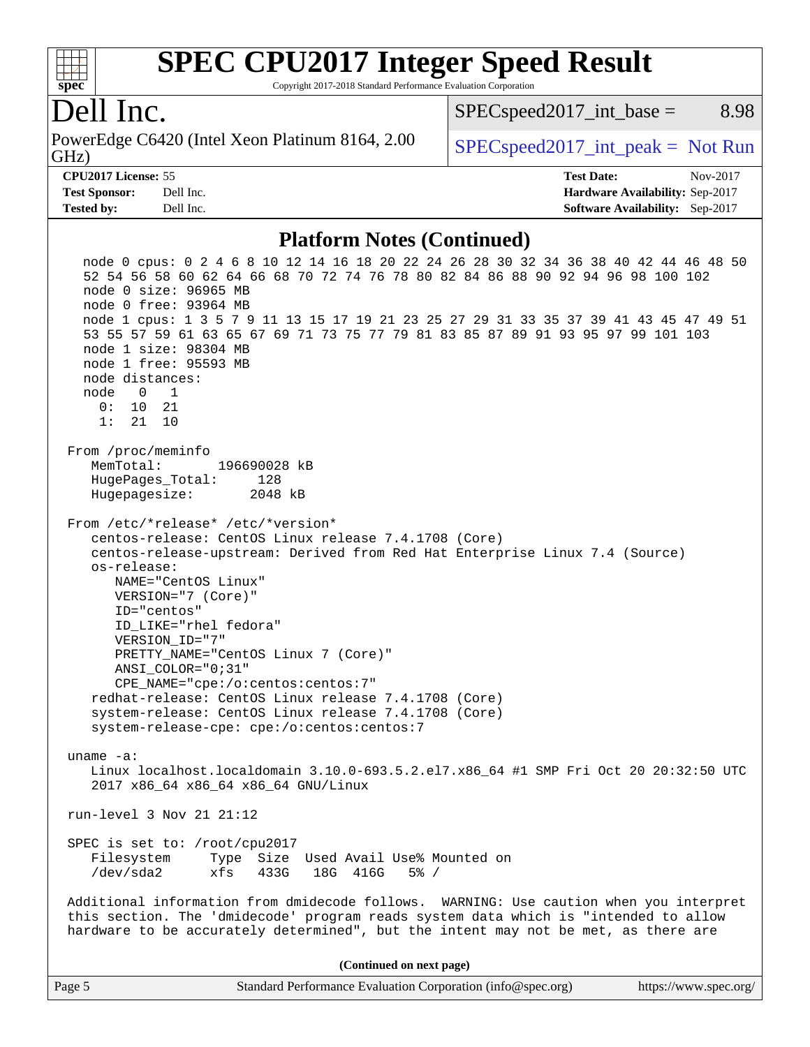

Copyright 2017-2018 Standard Performance Evaluation Corporation

### Dell Inc.

GHz) PowerEdge C6420 (Intel Xeon Platinum 8164, 2.00  $\big|$  [SPECspeed2017\\_int\\_peak =](http://www.spec.org/auto/cpu2017/Docs/result-fields.html#SPECspeed2017intpeak) Not Run

 $SPEC speed2017\_int\_base =$  8.98

**[Tested by:](http://www.spec.org/auto/cpu2017/Docs/result-fields.html#Testedby)** Dell Inc. **[Software Availability:](http://www.spec.org/auto/cpu2017/Docs/result-fields.html#SoftwareAvailability)** Sep-2017

**[CPU2017 License:](http://www.spec.org/auto/cpu2017/Docs/result-fields.html#CPU2017License)** 55 **[Test Date:](http://www.spec.org/auto/cpu2017/Docs/result-fields.html#TestDate)** Nov-2017 **[Test Sponsor:](http://www.spec.org/auto/cpu2017/Docs/result-fields.html#TestSponsor)** Dell Inc. **[Hardware Availability:](http://www.spec.org/auto/cpu2017/Docs/result-fields.html#HardwareAvailability)** Sep-2017

### **[Platform Notes \(Continued\)](http://www.spec.org/auto/cpu2017/Docs/result-fields.html#PlatformNotes)**

 node 0 cpus: 0 2 4 6 8 10 12 14 16 18 20 22 24 26 28 30 32 34 36 38 40 42 44 46 48 50 52 54 56 58 60 62 64 66 68 70 72 74 76 78 80 82 84 86 88 90 92 94 96 98 100 102 node 0 size: 96965 MB node 0 free: 93964 MB node 1 cpus: 1 3 5 7 9 11 13 15 17 19 21 23 25 27 29 31 33 35 37 39 41 43 45 47 49 51 53 55 57 59 61 63 65 67 69 71 73 75 77 79 81 83 85 87 89 91 93 95 97 99 101 103 node 1 size: 98304 MB node 1 free: 95593 MB node distances: node 0 1 0: 10 21 1: 21 10 From /proc/meminfo MemTotal: 196690028 kB HugePages\_Total: 128 Hugepagesize: 2048 kB From /etc/\*release\* /etc/\*version\* centos-release: CentOS Linux release 7.4.1708 (Core) centos-release-upstream: Derived from Red Hat Enterprise Linux 7.4 (Source) os-release: NAME="CentOS Linux" VERSION="7 (Core)" ID="centos" ID\_LIKE="rhel fedora" VERSION\_ID="7" PRETTY\_NAME="CentOS Linux 7 (Core)" ANSI\_COLOR="0;31" CPE\_NAME="cpe:/o:centos:centos:7" redhat-release: CentOS Linux release 7.4.1708 (Core) system-release: CentOS Linux release 7.4.1708 (Core) system-release-cpe: cpe:/o:centos:centos:7 uname -a: Linux localhost.localdomain 3.10.0-693.5.2.el7.x86\_64 #1 SMP Fri Oct 20 20:32:50 UTC 2017 x86\_64 x86\_64 x86\_64 GNU/Linux run-level 3 Nov 21 21:12 SPEC is set to: /root/cpu2017 Filesystem Type Size Used Avail Use% Mounted on /dev/sda2 xfs 433G 18G 416G 5% / Additional information from dmidecode follows. WARNING: Use caution when you interpret this section. The 'dmidecode' program reads system data which is "intended to allow hardware to be accurately determined", but the intent may not be met, as there are **(Continued on next page)**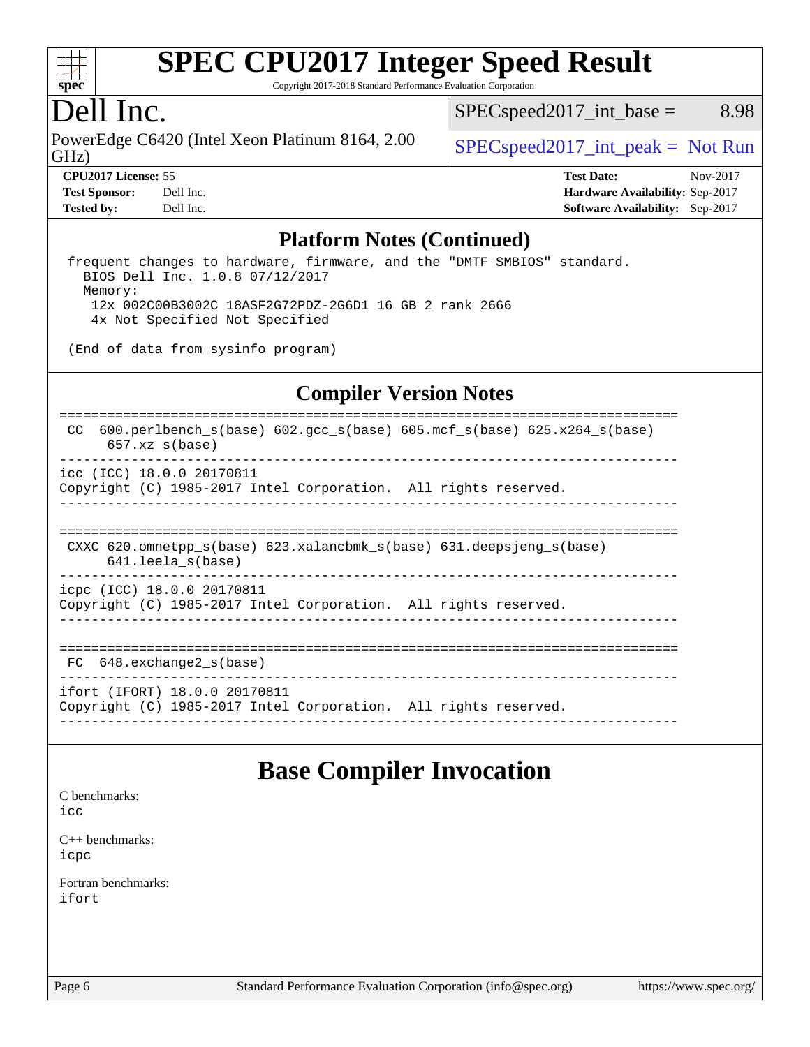

Copyright 2017-2018 Standard Performance Evaluation Corporation

## Dell Inc.

GHz) PowerEdge C6420 (Intel Xeon Platinum 8164, 2.00  $\big|$  [SPECspeed2017\\_int\\_peak =](http://www.spec.org/auto/cpu2017/Docs/result-fields.html#SPECspeed2017intpeak) Not Run

 $SPEC speed2017\_int\_base =$  8.98

**[Tested by:](http://www.spec.org/auto/cpu2017/Docs/result-fields.html#Testedby)** Dell Inc. **[Software Availability:](http://www.spec.org/auto/cpu2017/Docs/result-fields.html#SoftwareAvailability)** Sep-2017

**[CPU2017 License:](http://www.spec.org/auto/cpu2017/Docs/result-fields.html#CPU2017License)** 55 **[Test Date:](http://www.spec.org/auto/cpu2017/Docs/result-fields.html#TestDate)** Nov-2017 **[Test Sponsor:](http://www.spec.org/auto/cpu2017/Docs/result-fields.html#TestSponsor)** Dell Inc. **[Hardware Availability:](http://www.spec.org/auto/cpu2017/Docs/result-fields.html#HardwareAvailability)** Sep-2017

### **[Platform Notes \(Continued\)](http://www.spec.org/auto/cpu2017/Docs/result-fields.html#PlatformNotes)**

 frequent changes to hardware, firmware, and the "DMTF SMBIOS" standard. BIOS Dell Inc. 1.0.8 07/12/2017 Memory: 12x 002C00B3002C 18ASF2G72PDZ-2G6D1 16 GB 2 rank 2666 4x Not Specified Not Specified

(End of data from sysinfo program)

### **[Compiler Version Notes](http://www.spec.org/auto/cpu2017/Docs/result-fields.html#CompilerVersionNotes)**

============================================================================== CC 600.perlbench\_s(base) 602.gcc\_s(base) 605.mcf\_s(base) 625.x264\_s(base) 657.xz\_s(base) ----------------------------------------------------------------------------- icc (ICC) 18.0.0 20170811 Copyright (C) 1985-2017 Intel Corporation. All rights reserved. ------------------------------------------------------------------------------ ============================================================================== CXXC 620.omnetpp\_s(base) 623.xalancbmk\_s(base) 631.deepsjeng\_s(base) 641.leela\_s(base) ----------------------------------------------------------------------------- icpc (ICC) 18.0.0 20170811 Copyright (C) 1985-2017 Intel Corporation. All rights reserved. ------------------------------------------------------------------------------ ============================================================================== FC 648.exchange2 s(base) ----------------------------------------------------------------------------- ifort (IFORT) 18.0.0 20170811 Copyright (C) 1985-2017 Intel Corporation. All rights reserved.

------------------------------------------------------------------------------

### **[Base Compiler Invocation](http://www.spec.org/auto/cpu2017/Docs/result-fields.html#BaseCompilerInvocation)**

[C benchmarks](http://www.spec.org/auto/cpu2017/Docs/result-fields.html#Cbenchmarks):

[icc](http://www.spec.org/cpu2017/results/res2018q1/cpu2017-20180122-02812.flags.html#user_CCbase_intel_icc_18.0_66fc1ee009f7361af1fbd72ca7dcefbb700085f36577c54f309893dd4ec40d12360134090235512931783d35fd58c0460139e722d5067c5574d8eaf2b3e37e92)

[C++ benchmarks:](http://www.spec.org/auto/cpu2017/Docs/result-fields.html#CXXbenchmarks) [icpc](http://www.spec.org/cpu2017/results/res2018q1/cpu2017-20180122-02812.flags.html#user_CXXbase_intel_icpc_18.0_c510b6838c7f56d33e37e94d029a35b4a7bccf4766a728ee175e80a419847e808290a9b78be685c44ab727ea267ec2f070ec5dc83b407c0218cded6866a35d07)

[Fortran benchmarks](http://www.spec.org/auto/cpu2017/Docs/result-fields.html#Fortranbenchmarks): [ifort](http://www.spec.org/cpu2017/results/res2018q1/cpu2017-20180122-02812.flags.html#user_FCbase_intel_ifort_18.0_8111460550e3ca792625aed983ce982f94888b8b503583aa7ba2b8303487b4d8a21a13e7191a45c5fd58ff318f48f9492884d4413fa793fd88dd292cad7027ca)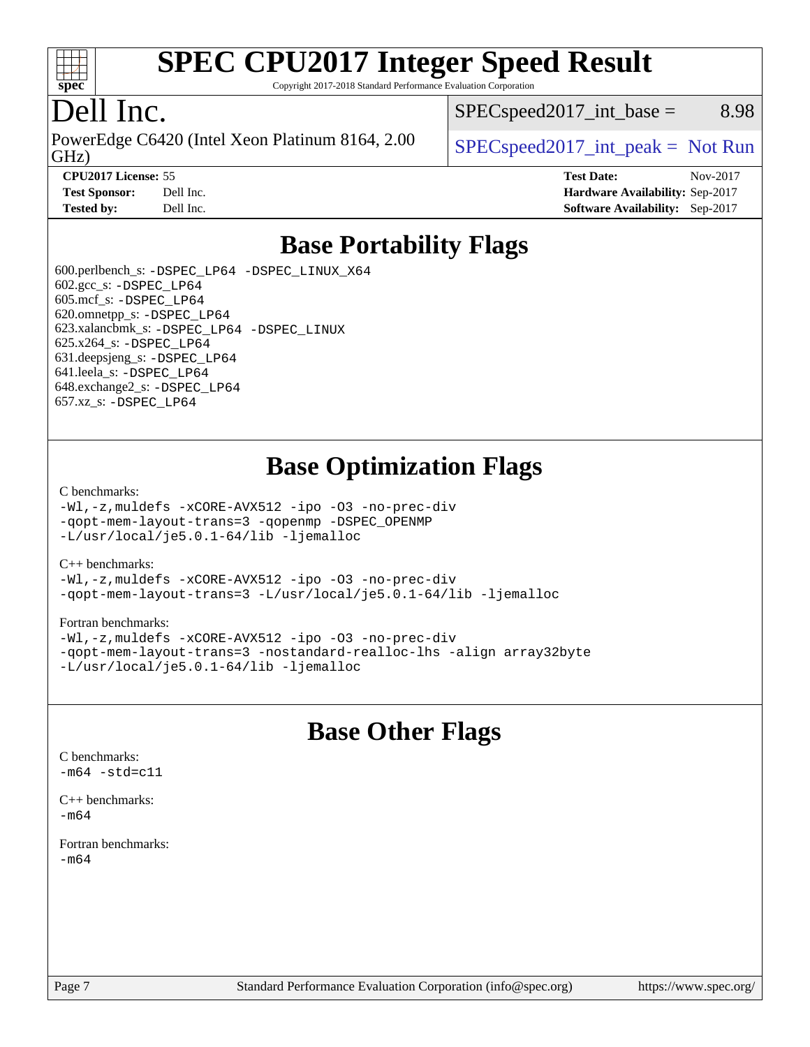

Copyright 2017-2018 Standard Performance Evaluation Corporation

# Dell Inc.

GHz) PowerEdge C6420 (Intel Xeon Platinum 8164, 2.00  $\big|$  [SPECspeed2017\\_int\\_peak =](http://www.spec.org/auto/cpu2017/Docs/result-fields.html#SPECspeed2017intpeak) Not Run

 $SPEC speed2017\_int\_base =$  8.98

**[CPU2017 License:](http://www.spec.org/auto/cpu2017/Docs/result-fields.html#CPU2017License)** 55 **[Test Date:](http://www.spec.org/auto/cpu2017/Docs/result-fields.html#TestDate)** Nov-2017 **[Test Sponsor:](http://www.spec.org/auto/cpu2017/Docs/result-fields.html#TestSponsor)** Dell Inc. **[Hardware Availability:](http://www.spec.org/auto/cpu2017/Docs/result-fields.html#HardwareAvailability)** Sep-2017 **[Tested by:](http://www.spec.org/auto/cpu2017/Docs/result-fields.html#Testedby)** Dell Inc. **[Software Availability:](http://www.spec.org/auto/cpu2017/Docs/result-fields.html#SoftwareAvailability)** Sep-2017

# **[Base Portability Flags](http://www.spec.org/auto/cpu2017/Docs/result-fields.html#BasePortabilityFlags)**

 600.perlbench\_s: [-DSPEC\\_LP64](http://www.spec.org/cpu2017/results/res2018q1/cpu2017-20180122-02812.flags.html#b600.perlbench_s_basePORTABILITY_DSPEC_LP64) [-DSPEC\\_LINUX\\_X64](http://www.spec.org/cpu2017/results/res2018q1/cpu2017-20180122-02812.flags.html#b600.perlbench_s_baseCPORTABILITY_DSPEC_LINUX_X64) 602.gcc\_s: [-DSPEC\\_LP64](http://www.spec.org/cpu2017/results/res2018q1/cpu2017-20180122-02812.flags.html#suite_basePORTABILITY602_gcc_s_DSPEC_LP64) 605.mcf\_s: [-DSPEC\\_LP64](http://www.spec.org/cpu2017/results/res2018q1/cpu2017-20180122-02812.flags.html#suite_basePORTABILITY605_mcf_s_DSPEC_LP64) 620.omnetpp\_s: [-DSPEC\\_LP64](http://www.spec.org/cpu2017/results/res2018q1/cpu2017-20180122-02812.flags.html#suite_basePORTABILITY620_omnetpp_s_DSPEC_LP64) 623.xalancbmk\_s: [-DSPEC\\_LP64](http://www.spec.org/cpu2017/results/res2018q1/cpu2017-20180122-02812.flags.html#suite_basePORTABILITY623_xalancbmk_s_DSPEC_LP64) [-DSPEC\\_LINUX](http://www.spec.org/cpu2017/results/res2018q1/cpu2017-20180122-02812.flags.html#b623.xalancbmk_s_baseCXXPORTABILITY_DSPEC_LINUX) 625.x264\_s: [-DSPEC\\_LP64](http://www.spec.org/cpu2017/results/res2018q1/cpu2017-20180122-02812.flags.html#suite_basePORTABILITY625_x264_s_DSPEC_LP64) 631.deepsjeng\_s: [-DSPEC\\_LP64](http://www.spec.org/cpu2017/results/res2018q1/cpu2017-20180122-02812.flags.html#suite_basePORTABILITY631_deepsjeng_s_DSPEC_LP64) 641.leela\_s: [-DSPEC\\_LP64](http://www.spec.org/cpu2017/results/res2018q1/cpu2017-20180122-02812.flags.html#suite_basePORTABILITY641_leela_s_DSPEC_LP64) 648.exchange2\_s: [-DSPEC\\_LP64](http://www.spec.org/cpu2017/results/res2018q1/cpu2017-20180122-02812.flags.html#suite_basePORTABILITY648_exchange2_s_DSPEC_LP64) 657.xz\_s: [-DSPEC\\_LP64](http://www.spec.org/cpu2017/results/res2018q1/cpu2017-20180122-02812.flags.html#suite_basePORTABILITY657_xz_s_DSPEC_LP64)

# **[Base Optimization Flags](http://www.spec.org/auto/cpu2017/Docs/result-fields.html#BaseOptimizationFlags)**

#### [C benchmarks](http://www.spec.org/auto/cpu2017/Docs/result-fields.html#Cbenchmarks):

[-Wl,-z,muldefs](http://www.spec.org/cpu2017/results/res2018q1/cpu2017-20180122-02812.flags.html#user_CCbase_link_force_multiple1_b4cbdb97b34bdee9ceefcfe54f4c8ea74255f0b02a4b23e853cdb0e18eb4525ac79b5a88067c842dd0ee6996c24547a27a4b99331201badda8798ef8a743f577) [-xCORE-AVX512](http://www.spec.org/cpu2017/results/res2018q1/cpu2017-20180122-02812.flags.html#user_CCbase_f-xCORE-AVX512) [-ipo](http://www.spec.org/cpu2017/results/res2018q1/cpu2017-20180122-02812.flags.html#user_CCbase_f-ipo) [-O3](http://www.spec.org/cpu2017/results/res2018q1/cpu2017-20180122-02812.flags.html#user_CCbase_f-O3) [-no-prec-div](http://www.spec.org/cpu2017/results/res2018q1/cpu2017-20180122-02812.flags.html#user_CCbase_f-no-prec-div) [-qopt-mem-layout-trans=3](http://www.spec.org/cpu2017/results/res2018q1/cpu2017-20180122-02812.flags.html#user_CCbase_f-qopt-mem-layout-trans_de80db37974c74b1f0e20d883f0b675c88c3b01e9d123adea9b28688d64333345fb62bc4a798493513fdb68f60282f9a726aa07f478b2f7113531aecce732043) [-qopenmp](http://www.spec.org/cpu2017/results/res2018q1/cpu2017-20180122-02812.flags.html#user_CCbase_qopenmp_16be0c44f24f464004c6784a7acb94aca937f053568ce72f94b139a11c7c168634a55f6653758ddd83bcf7b8463e8028bb0b48b77bcddc6b78d5d95bb1df2967) [-DSPEC\\_OPENMP](http://www.spec.org/cpu2017/results/res2018q1/cpu2017-20180122-02812.flags.html#suite_CCbase_DSPEC_OPENMP) [-L/usr/local/je5.0.1-64/lib](http://www.spec.org/cpu2017/results/res2018q1/cpu2017-20180122-02812.flags.html#user_CCbase_jemalloc_link_path64_4b10a636b7bce113509b17f3bd0d6226c5fb2346b9178c2d0232c14f04ab830f976640479e5c33dc2bcbbdad86ecfb6634cbbd4418746f06f368b512fced5394) [-ljemalloc](http://www.spec.org/cpu2017/results/res2018q1/cpu2017-20180122-02812.flags.html#user_CCbase_jemalloc_link_lib_d1249b907c500fa1c0672f44f562e3d0f79738ae9e3c4a9c376d49f265a04b9c99b167ecedbf6711b3085be911c67ff61f150a17b3472be731631ba4d0471706)

#### [C++ benchmarks:](http://www.spec.org/auto/cpu2017/Docs/result-fields.html#CXXbenchmarks)

[-Wl,-z,muldefs](http://www.spec.org/cpu2017/results/res2018q1/cpu2017-20180122-02812.flags.html#user_CXXbase_link_force_multiple1_b4cbdb97b34bdee9ceefcfe54f4c8ea74255f0b02a4b23e853cdb0e18eb4525ac79b5a88067c842dd0ee6996c24547a27a4b99331201badda8798ef8a743f577) [-xCORE-AVX512](http://www.spec.org/cpu2017/results/res2018q1/cpu2017-20180122-02812.flags.html#user_CXXbase_f-xCORE-AVX512) [-ipo](http://www.spec.org/cpu2017/results/res2018q1/cpu2017-20180122-02812.flags.html#user_CXXbase_f-ipo) [-O3](http://www.spec.org/cpu2017/results/res2018q1/cpu2017-20180122-02812.flags.html#user_CXXbase_f-O3) [-no-prec-div](http://www.spec.org/cpu2017/results/res2018q1/cpu2017-20180122-02812.flags.html#user_CXXbase_f-no-prec-div) [-qopt-mem-layout-trans=3](http://www.spec.org/cpu2017/results/res2018q1/cpu2017-20180122-02812.flags.html#user_CXXbase_f-qopt-mem-layout-trans_de80db37974c74b1f0e20d883f0b675c88c3b01e9d123adea9b28688d64333345fb62bc4a798493513fdb68f60282f9a726aa07f478b2f7113531aecce732043) [-L/usr/local/je5.0.1-64/lib](http://www.spec.org/cpu2017/results/res2018q1/cpu2017-20180122-02812.flags.html#user_CXXbase_jemalloc_link_path64_4b10a636b7bce113509b17f3bd0d6226c5fb2346b9178c2d0232c14f04ab830f976640479e5c33dc2bcbbdad86ecfb6634cbbd4418746f06f368b512fced5394) [-ljemalloc](http://www.spec.org/cpu2017/results/res2018q1/cpu2017-20180122-02812.flags.html#user_CXXbase_jemalloc_link_lib_d1249b907c500fa1c0672f44f562e3d0f79738ae9e3c4a9c376d49f265a04b9c99b167ecedbf6711b3085be911c67ff61f150a17b3472be731631ba4d0471706)

#### [Fortran benchmarks](http://www.spec.org/auto/cpu2017/Docs/result-fields.html#Fortranbenchmarks):

[-Wl,-z,muldefs](http://www.spec.org/cpu2017/results/res2018q1/cpu2017-20180122-02812.flags.html#user_FCbase_link_force_multiple1_b4cbdb97b34bdee9ceefcfe54f4c8ea74255f0b02a4b23e853cdb0e18eb4525ac79b5a88067c842dd0ee6996c24547a27a4b99331201badda8798ef8a743f577) [-xCORE-AVX512](http://www.spec.org/cpu2017/results/res2018q1/cpu2017-20180122-02812.flags.html#user_FCbase_f-xCORE-AVX512) [-ipo](http://www.spec.org/cpu2017/results/res2018q1/cpu2017-20180122-02812.flags.html#user_FCbase_f-ipo) [-O3](http://www.spec.org/cpu2017/results/res2018q1/cpu2017-20180122-02812.flags.html#user_FCbase_f-O3) [-no-prec-div](http://www.spec.org/cpu2017/results/res2018q1/cpu2017-20180122-02812.flags.html#user_FCbase_f-no-prec-div) [-qopt-mem-layout-trans=3](http://www.spec.org/cpu2017/results/res2018q1/cpu2017-20180122-02812.flags.html#user_FCbase_f-qopt-mem-layout-trans_de80db37974c74b1f0e20d883f0b675c88c3b01e9d123adea9b28688d64333345fb62bc4a798493513fdb68f60282f9a726aa07f478b2f7113531aecce732043) [-nostandard-realloc-lhs](http://www.spec.org/cpu2017/results/res2018q1/cpu2017-20180122-02812.flags.html#user_FCbase_f_2003_std_realloc_82b4557e90729c0f113870c07e44d33d6f5a304b4f63d4c15d2d0f1fab99f5daaed73bdb9275d9ae411527f28b936061aa8b9c8f2d63842963b95c9dd6426b8a) [-align array32byte](http://www.spec.org/cpu2017/results/res2018q1/cpu2017-20180122-02812.flags.html#user_FCbase_align_array32byte_b982fe038af199962ba9a80c053b8342c548c85b40b8e86eb3cc33dee0d7986a4af373ac2d51c3f7cf710a18d62fdce2948f201cd044323541f22fc0fffc51b6) [-L/usr/local/je5.0.1-64/lib](http://www.spec.org/cpu2017/results/res2018q1/cpu2017-20180122-02812.flags.html#user_FCbase_jemalloc_link_path64_4b10a636b7bce113509b17f3bd0d6226c5fb2346b9178c2d0232c14f04ab830f976640479e5c33dc2bcbbdad86ecfb6634cbbd4418746f06f368b512fced5394) [-ljemalloc](http://www.spec.org/cpu2017/results/res2018q1/cpu2017-20180122-02812.flags.html#user_FCbase_jemalloc_link_lib_d1249b907c500fa1c0672f44f562e3d0f79738ae9e3c4a9c376d49f265a04b9c99b167ecedbf6711b3085be911c67ff61f150a17b3472be731631ba4d0471706)

## **[Base Other Flags](http://www.spec.org/auto/cpu2017/Docs/result-fields.html#BaseOtherFlags)**

 $-m64 - std= c11$  $-m64 - std= c11$ [C++ benchmarks:](http://www.spec.org/auto/cpu2017/Docs/result-fields.html#CXXbenchmarks)

[C benchmarks](http://www.spec.org/auto/cpu2017/Docs/result-fields.html#Cbenchmarks):

[-m64](http://www.spec.org/cpu2017/results/res2018q1/cpu2017-20180122-02812.flags.html#user_CXXbase_intel_intel64_18.0_af43caccfc8ded86e7699f2159af6efc7655f51387b94da716254467f3c01020a5059329e2569e4053f409e7c9202a7efc638f7a6d1ffb3f52dea4a3e31d82ab)

[Fortran benchmarks](http://www.spec.org/auto/cpu2017/Docs/result-fields.html#Fortranbenchmarks): [-m64](http://www.spec.org/cpu2017/results/res2018q1/cpu2017-20180122-02812.flags.html#user_FCbase_intel_intel64_18.0_af43caccfc8ded86e7699f2159af6efc7655f51387b94da716254467f3c01020a5059329e2569e4053f409e7c9202a7efc638f7a6d1ffb3f52dea4a3e31d82ab)